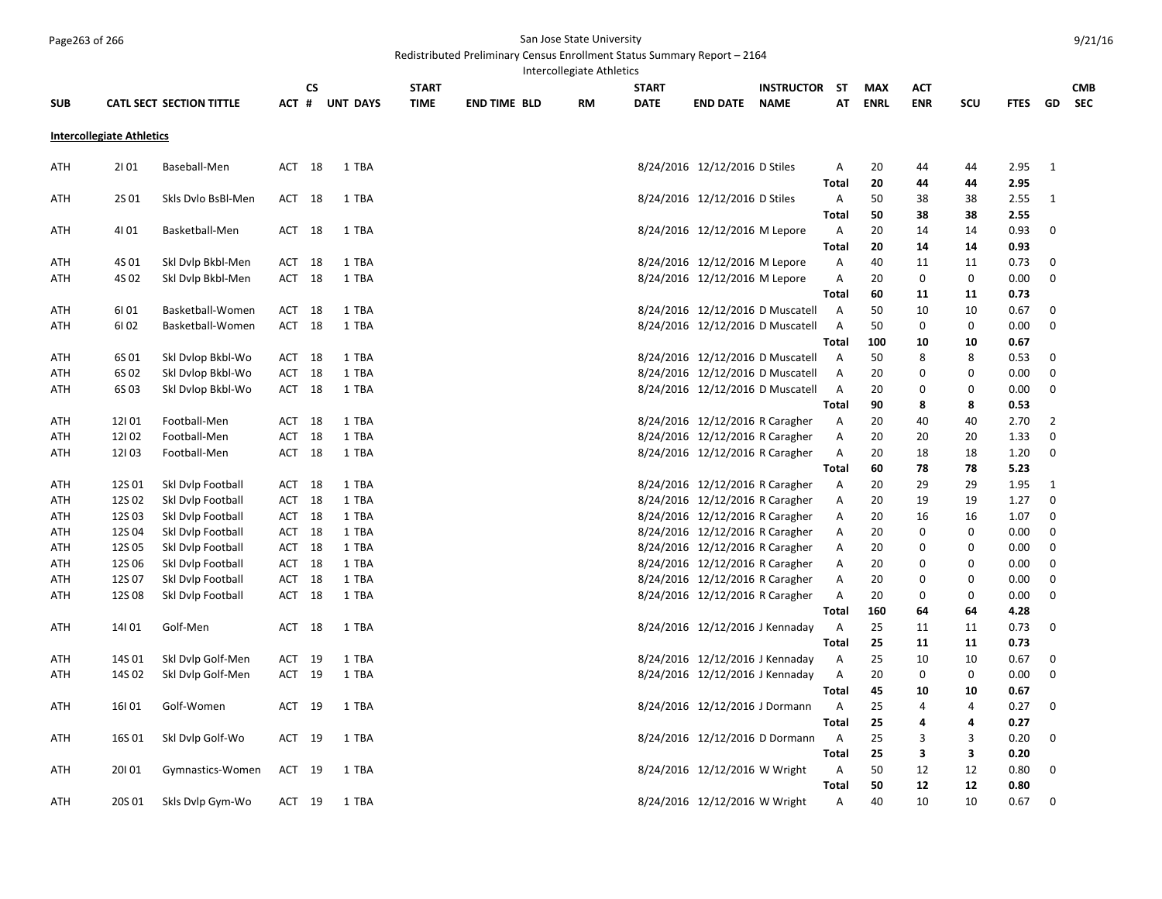## Page263 of 266 San Jose State University

## Redistributed Preliminary Census Enrollment Status Summary Report – 2164

|            |                                  |                                 |        |           |                 |              |                     | Intercollegiate Athletics |              |                                 |                                  |                |             |             |             |             |                  |            |
|------------|----------------------------------|---------------------------------|--------|-----------|-----------------|--------------|---------------------|---------------------------|--------------|---------------------------------|----------------------------------|----------------|-------------|-------------|-------------|-------------|------------------|------------|
|            |                                  |                                 |        | <b>CS</b> |                 | <b>START</b> |                     |                           | <b>START</b> |                                 | <b>INSTRUCTOR</b>                | <b>ST</b>      | <b>MAX</b>  | АСТ         |             |             |                  | <b>CMB</b> |
| <b>SUB</b> |                                  | <b>CATL SECT SECTION TITTLE</b> | ACT #  |           | <b>UNT DAYS</b> | <b>TIME</b>  | <b>END TIME BLD</b> | <b>RM</b>                 | <b>DATE</b>  | <b>END DATE</b>                 | <b>NAME</b>                      | AT             | <b>ENRL</b> | <b>ENR</b>  | <b>SCU</b>  | <b>FTES</b> | GD               | <b>SEC</b> |
|            | <b>Intercollegiate Athletics</b> |                                 |        |           |                 |              |                     |                           |              |                                 |                                  |                |             |             |             |             |                  |            |
| ATH        | 2101                             | Baseball-Men                    | ACT 18 |           | 1 TBA           |              |                     |                           |              | 8/24/2016 12/12/2016 D Stiles   |                                  | Α              | 20          | 44          | 44          | 2.95        | 1                |            |
|            |                                  |                                 |        |           |                 |              |                     |                           |              |                                 |                                  | <b>Total</b>   | 20          | 44          | 44          | 2.95        |                  |            |
| ATH        | 2S 01                            | Skls Dvlo BsBl-Men              | ACT 18 |           | 1 TBA           |              |                     |                           |              | 8/24/2016 12/12/2016 D Stiles   |                                  | Α              | 50          | 38          | 38          | 2.55        | 1                |            |
|            |                                  |                                 |        |           |                 |              |                     |                           |              |                                 |                                  | Total          | 50          | 38          | 38          | 2.55        |                  |            |
| ATH        | 4101                             | Basketball-Men                  | ACT    | 18        | 1 TBA           |              |                     |                           |              | 8/24/2016 12/12/2016 M Lepore   |                                  | Α              | 20          | 14          | 14          | 0.93        | 0                |            |
|            |                                  |                                 |        |           |                 |              |                     |                           |              |                                 |                                  | Total          | 20          | 14          | 14          | 0.93        | $\mathbf 0$      |            |
| ATH        | 4S 01                            | Skl Dvlp Bkbl-Men               | ACT    | 18        | 1 TBA           |              |                     |                           |              | 8/24/2016 12/12/2016 M Lepore   |                                  | Α              | 40          | 11          | 11          | 0.73        |                  |            |
| ATH        | 4S 02                            | Skl Dvlp Bkbl-Men               | ACT    | 18        | 1 TBA           |              |                     |                           |              | 8/24/2016 12/12/2016 M Lepore   |                                  | Α              | 20          | 0           | 0           | 0.00        | $\mathbf 0$      |            |
|            |                                  |                                 |        |           |                 |              |                     |                           |              |                                 |                                  | Total          | 60          | 11          | 11          | 0.73        |                  |            |
| ATH        | 61 01                            | Basketball-Women                | ACT    | 18        | 1 TBA           |              |                     |                           |              |                                 | 8/24/2016 12/12/2016 D Muscatell | Α              | 50          | 10          | 10          | 0.67        | $\mathbf 0$      |            |
| ATH        | 6102                             | Basketball-Women                | ACT    | 18        | 1 TBA           |              |                     |                           |              |                                 | 8/24/2016 12/12/2016 D Muscatell | $\overline{A}$ | 50          | $\mathbf 0$ | $\mathbf 0$ | 0.00        | $\mathbf 0$      |            |
|            |                                  |                                 |        |           |                 |              |                     |                           |              |                                 |                                  | Total          | 100         | 10          | 10          | 0.67        |                  |            |
| ATH        | 6S 01                            | Skl Dvlop Bkbl-Wo               | ACT    | 18        | 1 TBA           |              |                     |                           |              |                                 | 8/24/2016 12/12/2016 D Muscatell | Α              | 50          | 8           | 8           | 0.53        | $\mathbf 0$      |            |
| ATH        | 6S 02                            | Skl Dvlop Bkbl-Wo               | ACT    | 18        | 1 TBA           |              |                     |                           |              |                                 | 8/24/2016 12/12/2016 D Muscatell | $\overline{A}$ | 20          | 0           | 0           | 0.00        | $\pmb{0}$        |            |
| ATH        | 6S 03                            | Skl Dvlop Bkbl-Wo               | ACT 18 |           | 1 TBA           |              |                     |                           |              |                                 | 8/24/2016 12/12/2016 D Muscatell | Α              | 20          | 0           | 0           | 0.00        | 0                |            |
|            |                                  |                                 |        |           |                 |              |                     |                           |              |                                 |                                  | <b>Total</b>   | 90          | 8           | 8           | 0.53        |                  |            |
| ATH        | 12101                            | Football-Men                    | ACT    | 18        | 1 TBA           |              |                     |                           |              | 8/24/2016 12/12/2016 R Caragher |                                  | Α              | 20          | 40          | 40          | 2.70        | $\overline{2}$   |            |
| ATH        | 12102                            | Football-Men                    | ACT    | 18        | 1 TBA           |              |                     |                           |              | 8/24/2016 12/12/2016 R Caragher |                                  | Α              | 20          | 20          | 20          | 1.33        | $\mathbf 0$      |            |
| ATH        | 12103                            | Football-Men                    | ACT 18 |           | 1 TBA           |              |                     |                           |              | 8/24/2016 12/12/2016 R Caragher |                                  | Α              | 20          | 18          | 18          | 1.20        | $\mathbf 0$      |            |
|            |                                  |                                 |        |           |                 |              |                     |                           |              |                                 |                                  | Total          | 60          | 78          | 78          | 5.23        |                  |            |
| ATH        | 12S 01                           | Skl Dvlp Football               | ACT    | 18        | 1 TBA           |              |                     |                           |              | 8/24/2016 12/12/2016 R Caragher |                                  | Α              | 20          | 29          | 29          | 1.95        | $\mathbf{1}$     |            |
| ATH        | 12S 02                           | Skl Dvlp Football               | ACT    | 18        | 1 TBA           |              |                     |                           |              | 8/24/2016 12/12/2016 R Caragher |                                  | Α              | 20          | 19          | 19          | 1.27        | $\mathbf 0$      |            |
| ATH        | 12S03                            | Skl Dvlp Football               | ACT 18 |           | 1 TBA           |              |                     |                           |              | 8/24/2016 12/12/2016 R Caragher |                                  | Α              | 20          | 16          | 16          | 1.07        | $\mathbf 0$      |            |
|            |                                  |                                 |        |           |                 |              |                     |                           |              |                                 |                                  |                |             |             |             |             | $\mathbf 0$      |            |
| ATH        | 12S 04                           | Skl Dvlp Football               | ACT    | 18        | 1 TBA           |              |                     |                           |              | 8/24/2016 12/12/2016 R Caragher |                                  | Α              | 20          | 0           | 0           | 0.00        |                  |            |
| ATH        | 12S 05                           | Skl Dvlp Football               | ACT    | 18        | 1 TBA           |              |                     |                           |              | 8/24/2016 12/12/2016 R Caragher |                                  | Α              | 20          | 0           | 0           | 0.00        | $\boldsymbol{0}$ |            |
| ATH        | 12S 06                           | Skl Dvlp Football               | ACT 18 |           | 1 TBA           |              |                     |                           |              | 8/24/2016 12/12/2016 R Caragher |                                  | Α              | 20          | 0           | 0           | 0.00        | $\mathbf 0$      |            |
| ATH        | 12S 07                           | Skl Dvlp Football               | ACT    | 18        | 1 TBA           |              |                     |                           |              | 8/24/2016 12/12/2016 R Caragher |                                  | Α              | 20          | 0           | 0           | 0.00        | $\mathbf 0$      |            |
| ATH        | 12S 08                           | Skl Dvlp Football               | ACT 18 |           | 1 TBA           |              |                     |                           |              | 8/24/2016 12/12/2016 R Caragher |                                  | Α              | 20          | 0           | 0           | 0.00        | $\mathbf 0$      |            |
|            |                                  |                                 |        |           |                 |              |                     |                           |              |                                 |                                  | <b>Total</b>   | 160         | 64          | 64          | 4.28        |                  |            |
| ATH        | 14101                            | Golf-Men                        | ACT    | 18        | 1 TBA           |              |                     |                           |              | 8/24/2016 12/12/2016 J Kennaday |                                  | Α              | 25          | 11          | 11          | 0.73        | 0                |            |
|            |                                  |                                 |        |           |                 |              |                     |                           |              |                                 |                                  | Total          | 25          | 11          | 11          | 0.73        |                  |            |
| ATH        | 14S 01                           | Skl Dvlp Golf-Men               | ACT    | 19        | 1 TBA           |              |                     |                           |              | 8/24/2016 12/12/2016 J Kennaday |                                  | Α              | 25          | 10          | 10          | 0.67        | $\mathbf 0$      |            |
| ATH        | 14S 02                           | Skl Dvlp Golf-Men               | ACT 19 |           | 1 TBA           |              |                     |                           |              | 8/24/2016 12/12/2016 J Kennaday |                                  | Α              | 20          | 0           | 0           | 0.00        | $\mathbf 0$      |            |
|            |                                  |                                 |        |           |                 |              |                     |                           |              |                                 |                                  | <b>Total</b>   | 45          | 10          | 10          | 0.67        |                  |            |
| ATH        | 16101                            | Golf-Women                      | ACT 19 |           | 1 TBA           |              |                     |                           |              | 8/24/2016 12/12/2016 J Dormann  |                                  | Α              | 25          | 4           | 4           | 0.27        | $\mathbf 0$      |            |
|            |                                  |                                 |        |           |                 |              |                     |                           |              |                                 |                                  | <b>Total</b>   | 25          | 4           | 4           | 0.27        |                  |            |
| ATH        | 16S 01                           | Skl Dvlp Golf-Wo                | ACT    | 19        | 1 TBA           |              |                     |                           |              | 8/24/2016 12/12/2016 D Dormann  |                                  | Α              | 25          | 3           | 3           | 0.20        | 0                |            |
|            |                                  |                                 |        |           |                 |              |                     |                           |              |                                 |                                  | <b>Total</b>   | 25          | 3           | 3           | 0.20        |                  |            |
| ATH        | 20101                            | Gymnastics-Women                | ACT 19 |           | 1 TBA           |              |                     |                           |              | 8/24/2016 12/12/2016 W Wright   |                                  | $\overline{A}$ | 50          | 12          | 12          | 0.80        | $\mathbf 0$      |            |
|            |                                  |                                 |        |           |                 |              |                     |                           |              |                                 |                                  | <b>Total</b>   | 50          | 12          | 12          | 0.80        |                  |            |
| ATH        | 20S 01                           | Skls Dvlp Gym-Wo                | ACT 19 |           | 1 TBA           |              |                     |                           |              | 8/24/2016 12/12/2016 W Wright   |                                  | A              | 40          | 10          | 10          | 0.67        | $\mathbf 0$      |            |
|            |                                  |                                 |        |           |                 |              |                     |                           |              |                                 |                                  |                |             |             |             |             |                  |            |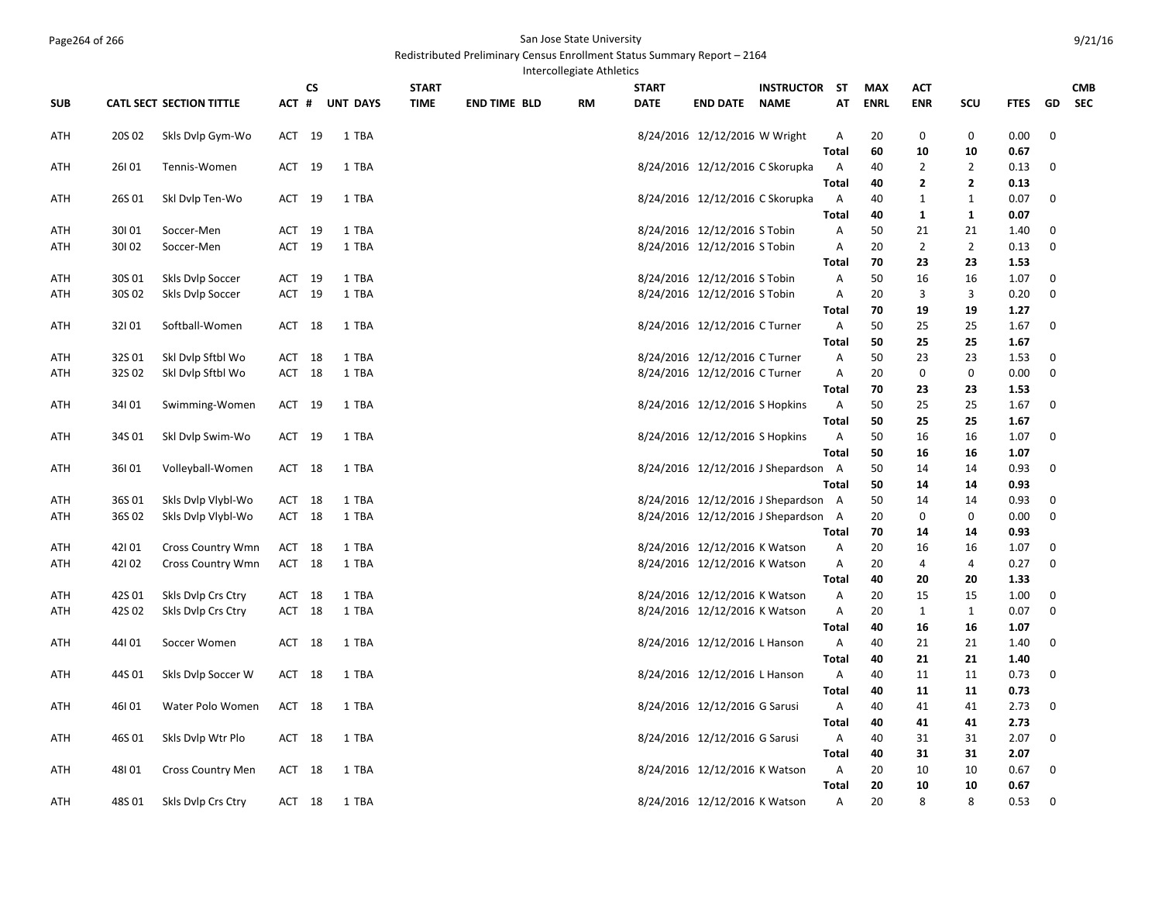## Page264 of 266 San Jose State University

## Redistributed Preliminary Census Enrollment Status Summary Report – 2164

9/21/16

Intercollegiate Athletics

|            |        |                                 |         | <b>CS</b> |                 | <b>START</b> |                     |    | <b>START</b> |                                 | <b>INSTRUCTOR</b>                   | <b>ST</b>      | <b>MAX</b>  | <b>ACT</b>              |                |             |                  | <b>CMB</b> |
|------------|--------|---------------------------------|---------|-----------|-----------------|--------------|---------------------|----|--------------|---------------------------------|-------------------------------------|----------------|-------------|-------------------------|----------------|-------------|------------------|------------|
| <b>SUB</b> |        | <b>CATL SECT SECTION TITTLE</b> | $ACT$ # |           | <b>UNT DAYS</b> | <b>TIME</b>  | <b>END TIME BLD</b> | RM | <b>DATE</b>  | <b>END DATE</b>                 | <b>NAME</b>                         | AT             | <b>ENRL</b> | <b>ENR</b>              | SCU            | <b>FTES</b> | GD               | <b>SEC</b> |
| ATH        | 20S 02 | Skls Dvlp Gym-Wo                | ACT 19  |           | 1 TBA           |              |                     |    |              | 8/24/2016 12/12/2016 W Wright   |                                     | Α              | 20          | 0                       | 0              | 0.00        | $\mathbf 0$      |            |
|            |        |                                 |         |           |                 |              |                     |    |              |                                 |                                     | <b>Total</b>   | 60          | 10                      | 10             | 0.67        |                  |            |
| ATH        | 26101  | Tennis-Women                    | ACT 19  |           | 1 TBA           |              |                     |    |              | 8/24/2016 12/12/2016 C Skorupka |                                     | Α              | 40          | $\overline{2}$          | $\overline{2}$ | 0.13        | 0                |            |
|            |        |                                 |         |           |                 |              |                     |    |              |                                 |                                     | <b>Total</b>   | 40          | $\overline{\mathbf{2}}$ | $\mathbf{2}$   | 0.13        |                  |            |
| ATH        | 26S01  | Skl Dvlp Ten-Wo                 | ACT 19  |           | 1 TBA           |              |                     |    |              | 8/24/2016 12/12/2016 C Skorupka |                                     | Α              | 40          | $\mathbf{1}$            | $\mathbf{1}$   | 0.07        | $\boldsymbol{0}$ |            |
|            |        |                                 |         |           |                 |              |                     |    |              |                                 |                                     | Total          | 40          | 1                       | 1              | 0.07        |                  |            |
| ATH        | 30101  | Soccer-Men                      | ACT     | 19        | 1 TBA           |              |                     |    |              | 8/24/2016 12/12/2016 S Tobin    |                                     | Α              | 50          | 21                      | 21             | 1.40        | 0                |            |
| ATH        | 30102  | Soccer-Men                      | ACT 19  |           | 1 TBA           |              |                     |    |              | 8/24/2016 12/12/2016 S Tobin    |                                     | Α              | 20          | $\overline{2}$          | $\overline{2}$ | 0.13        | $\mathbf 0$      |            |
|            |        |                                 |         |           |                 |              |                     |    |              |                                 |                                     | Total          | 70          | 23                      | 23             | 1.53        |                  |            |
| ATH        | 30S 01 | Skls Dvlp Soccer                | ACT     | 19        | 1 TBA           |              |                     |    |              | 8/24/2016 12/12/2016 S Tobin    |                                     | Α              | 50          | 16                      | 16             | 1.07        | 0                |            |
| ATH        | 30S 02 | Skls Dvlp Soccer                | ACT 19  |           | 1 TBA           |              |                     |    |              | 8/24/2016 12/12/2016 S Tobin    |                                     | Α              | 20          | 3                       | 3              | 0.20        | $\mathbf 0$      |            |
|            |        |                                 |         |           |                 |              |                     |    |              |                                 |                                     | Total          | 70          | 19                      | 19             | 1.27        |                  |            |
| ATH        | 32101  | Softball-Women                  | ACT 18  |           | 1 TBA           |              |                     |    |              | 8/24/2016 12/12/2016 C Turner   |                                     | A              | 50          | 25                      | 25             | 1.67        | 0                |            |
|            |        |                                 |         |           |                 |              |                     |    |              |                                 |                                     | <b>Total</b>   | 50          | 25                      | 25             | 1.67        |                  |            |
| ATH        | 32S01  | Skl Dvlp Sftbl Wo               | ACT     | 18        | 1 TBA           |              |                     |    |              | 8/24/2016 12/12/2016 C Turner   |                                     | A              | 50          | 23                      | 23             | 1.53        | 0                |            |
| ATH        | 32S02  | Skl Dvlp Sftbl Wo               | ACT 18  |           | 1 TBA           |              |                     |    |              | 8/24/2016 12/12/2016 C Turner   |                                     | Α              | 20          | $\mathbf 0$             | 0              | 0.00        | $\mathbf 0$      |            |
|            |        |                                 |         |           |                 |              |                     |    |              |                                 |                                     | <b>Total</b>   | 70          | 23                      | 23             | 1.53        |                  |            |
| ATH        | 34101  | Swimming-Women                  | ACT 19  |           | 1 TBA           |              |                     |    |              | 8/24/2016 12/12/2016 S Hopkins  |                                     | Α              | 50          | 25                      | 25             | 1.67        | 0                |            |
|            |        |                                 |         |           |                 |              |                     |    |              |                                 |                                     | <b>Total</b>   | 50          | 25                      | 25             | 1.67        |                  |            |
| ATH        | 34S01  | Skl Dvlp Swim-Wo                | ACT 19  |           | 1 TBA           |              |                     |    |              | 8/24/2016 12/12/2016 S Hopkins  |                                     | Α              | 50          | 16                      | 16             | 1.07        | $\mathbf 0$      |            |
|            |        |                                 |         |           |                 |              |                     |    |              |                                 |                                     | <b>Total</b>   | 50          | 16                      | 16             | 1.07        |                  |            |
| ATH        | 36101  | Volleyball-Women                | ACT 18  |           | 1 TBA           |              |                     |    |              |                                 | 8/24/2016 12/12/2016 J Shepardson   | $\overline{A}$ | 50          | 14                      | 14             | 0.93        | 0                |            |
|            |        |                                 |         |           |                 |              |                     |    |              |                                 |                                     | <b>Total</b>   | 50          | 14                      | 14             | 0.93        |                  |            |
| ATH        | 36S01  | Skls Dvlp Vlybl-Wo              | ACT 18  |           | 1 TBA           |              |                     |    |              |                                 | 8/24/2016 12/12/2016 J Shepardson A |                | 50          | 14                      | 14             | 0.93        | 0                |            |
| ATH        | 36S02  | Skls Dylp Vlybl-Wo              | ACT 18  |           | 1 TBA           |              |                     |    |              |                                 | 8/24/2016 12/12/2016 J Shepardson A |                | 20          | 0                       | 0              | 0.00        | $\mathbf 0$      |            |
|            |        |                                 |         |           |                 |              |                     |    |              |                                 |                                     | Total          | 70          | 14                      | 14             | 0.93        |                  |            |
| ATH        | 42101  | Cross Country Wmn               | ACT     | 18        | 1 TBA           |              |                     |    |              | 8/24/2016 12/12/2016 K Watson   |                                     | Α              | 20          | 16                      | 16             | 1.07        | $\mathbf 0$      |            |
| ATH        | 42102  | <b>Cross Country Wmn</b>        | ACT 18  |           | 1 TBA           |              |                     |    |              | 8/24/2016 12/12/2016 K Watson   |                                     | A              | 20          | 4                       | 4              | 0.27        | $\mathbf 0$      |            |
|            |        |                                 |         |           |                 |              |                     |    |              |                                 |                                     | <b>Total</b>   | 40          | 20                      | 20             | 1.33        |                  |            |
| ATH        | 42S01  | Skls Dvlp Crs Ctry              | ACT 18  |           | 1 TBA           |              |                     |    |              | 8/24/2016 12/12/2016 K Watson   |                                     | A              | 20          | 15                      | 15             | 1.00        | $\mathbf 0$      |            |
| ATH        | 42S02  | Skls Dvlp Crs Ctry              | ACT 18  |           | 1 TBA           |              |                     |    |              | 8/24/2016 12/12/2016 K Watson   |                                     | Α              | 20          | $\mathbf{1}$            | $\mathbf{1}$   | 0.07        | $\mathbf 0$      |            |
|            |        |                                 |         |           |                 |              |                     |    |              |                                 |                                     | <b>Total</b>   | 40          | 16                      | 16             | 1.07        |                  |            |
| ATH        | 44101  | Soccer Women                    | ACT     | 18        | 1 TBA           |              |                     |    |              | 8/24/2016 12/12/2016 L Hanson   |                                     | A              | 40          | 21                      | 21             | 1.40        | $\mathbf 0$      |            |
|            |        |                                 |         |           |                 |              |                     |    |              |                                 |                                     | <b>Total</b>   | 40          | 21                      | 21             | 1.40        |                  |            |
| ATH        | 44S 01 | Skls Dvlp Soccer W              | ACT 18  |           | 1 TBA           |              |                     |    |              | 8/24/2016 12/12/2016 L Hanson   |                                     | Α              | 40          | 11                      | 11             | 0.73        | $\mathbf 0$      |            |
|            |        |                                 |         |           |                 |              |                     |    |              |                                 |                                     | <b>Total</b>   | 40          | 11                      | 11             | 0.73        |                  |            |
| ATH        | 46101  | Water Polo Women                | ACT 18  |           | 1 TBA           |              |                     |    |              | 8/24/2016 12/12/2016 G Sarusi   |                                     | Α              | 40          | 41                      | 41             | 2.73        | $\mathbf 0$      |            |
|            |        |                                 |         |           |                 |              |                     |    |              |                                 |                                     | <b>Total</b>   | 40          | 41                      | 41             | 2.73        |                  |            |
| ATH        | 46S01  | Skls Dvlp Wtr Plo               | ACT 18  |           | 1 TBA           |              |                     |    |              | 8/24/2016 12/12/2016 G Sarusi   |                                     | A              | 40          | 31                      | 31             | 2.07        | 0                |            |
|            |        |                                 |         |           |                 |              |                     |    |              |                                 |                                     | <b>Total</b>   | 40          | 31                      | 31             | 2.07        |                  |            |
| ATH        | 48101  | <b>Cross Country Men</b>        | ACT 18  |           | 1 TBA           |              |                     |    |              | 8/24/2016 12/12/2016 K Watson   |                                     | Α              | 20          | 10                      | 10             | 0.67        | 0                |            |
|            |        |                                 |         |           |                 |              |                     |    |              |                                 |                                     | <b>Total</b>   | 20          | 10                      | 10             | 0.67        |                  |            |
| ATH        | 48S 01 | Skls Dvlp Crs Ctry              | ACT 18  |           | 1 TBA           |              |                     |    |              | 8/24/2016 12/12/2016 K Watson   |                                     | Α              | 20          | 8                       | 8              | 0.53        | 0                |            |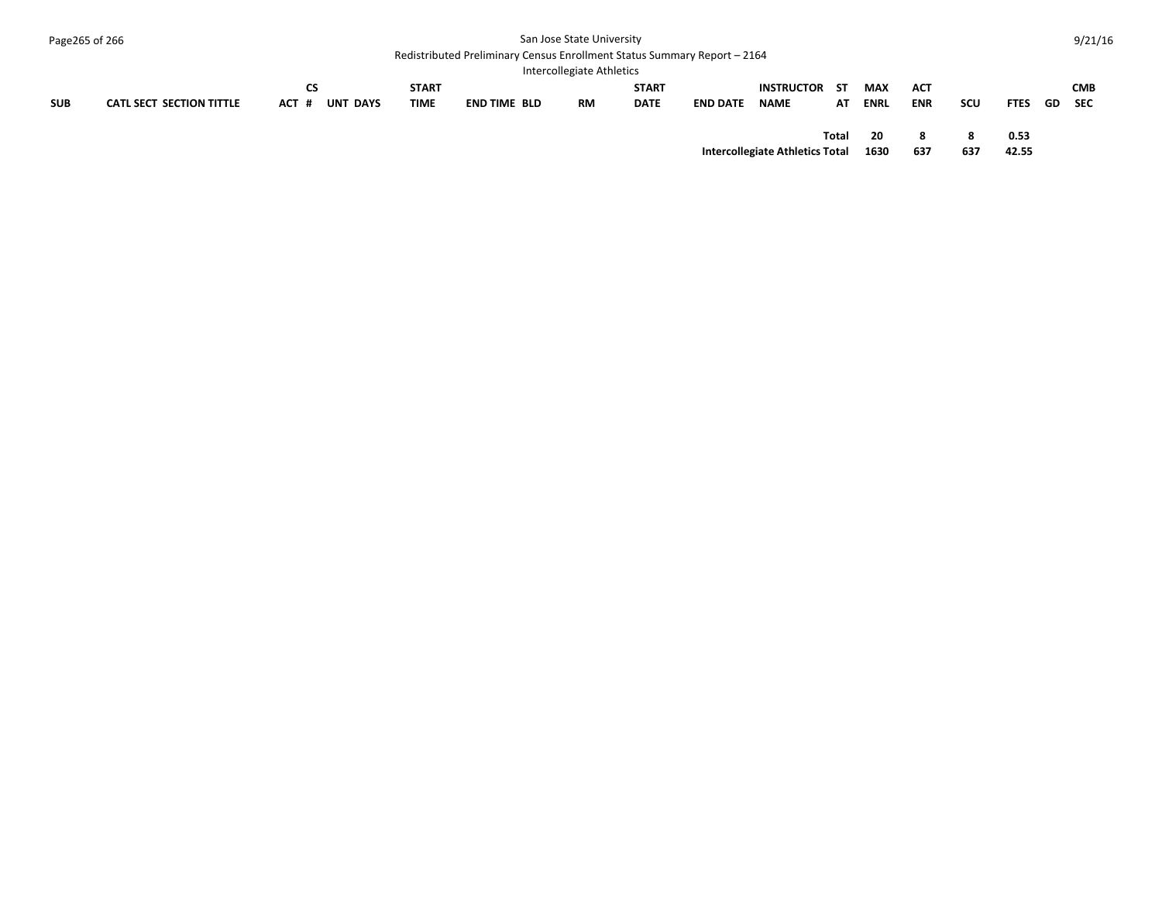| Page265 of 266 |                                 | San Jose State University<br>Redistributed Preliminary Census Enrollment Status Summary Report - 2164<br>Intercollegiate Athletics |                             |                     |    |                             |                 |                                  |            |                    |                          |          |               |     | 9/21/16                  |
|----------------|---------------------------------|------------------------------------------------------------------------------------------------------------------------------------|-----------------------------|---------------------|----|-----------------------------|-----------------|----------------------------------|------------|--------------------|--------------------------|----------|---------------|-----|--------------------------|
| <b>SUB</b>     | <b>CATL SECT SECTION TITTLE</b> | CS<br><b>UNT DAYS</b><br>ACT #                                                                                                     | <b>START</b><br><b>TIME</b> | <b>END TIME BLD</b> | RM | <b>START</b><br><b>DATE</b> | <b>END DATE</b> | <b>INSTRUCTOR</b><br><b>NAME</b> | - ST<br>AT | <b>MAX</b><br>ENRL | <b>ACT</b><br><b>ENR</b> | scu      | <b>FTES</b>   | GD. | <b>CMB</b><br><b>SEC</b> |
|                |                                 |                                                                                                                                    |                             |                     |    |                             |                 | Intercollegiate Athletics Total  | Total      | 20<br>1630         | 8<br>637                 | 8<br>637 | 0.53<br>42.55 |     |                          |